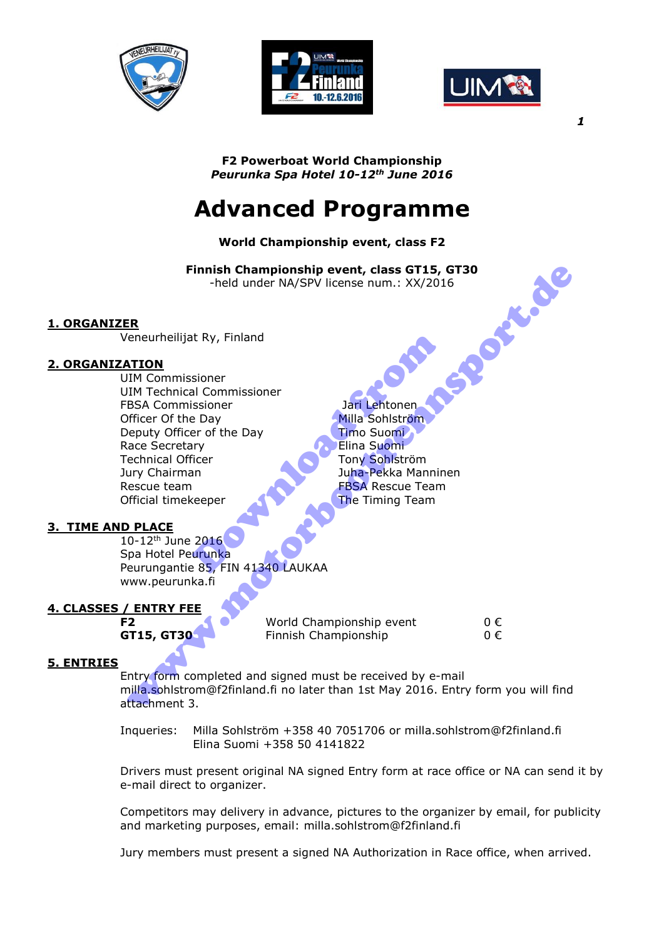





**F2 Powerboat World Championship**  *Peurunka Spa Hotel 10-12th June 2016* 

# **Advanced Programme**

# **World Championship event, class F2**

**Finnish Championship event, class GT15, GT30**<br>
-held under NA/SPV license num.: XX/2016<br>
iat Ry, Finland<br>
ssioner<br>
cal C -held under NA/SPV license num.: XX/2016

## **1. ORGANIZER**

Veneurheilijat Ry, Finland

## **2. ORGANIZATION**

UIM Commissioner UIM Technical Commissioner FBSA Commissioner and Dari Lehtonen Officer Of the Day Milla Sohlström Deputy Officer of the Day Timo Suomi Race Secretary **Elina** Suomi Technical Officer Tony Sohlström Jury Chairman Juha-Pekka Manninen Rescue team FBSA Rescue Team Official timekeeper **The Timing Team** Example the Day<br>
Sioner and Commissioner<br>
Example the Day<br>
The Substribute of the Day<br>
Milla Sohlström<br>
The Timing Team<br>
The Timing Team<br>
The Timing Team<br>
2016<br>
The Timing Team<br>
2016<br>
The Timing Team<br>
The Timing Team<br>
2016 www.motorbootrennsport.de

## **3. TIME AND PLACE**

10-12<sup>th</sup> June 2016 Spa Hotel Peurunka Peurungantie 85, FIN 41340 LAUKAA www.peurunka.fi

# **4. CLASSES / ENTRY FEE**

**F2** World Championship event 0 € **GT15, GT30** Finnish Championship 0 €

## **5. ENTRIES**

Entry form completed and signed must be received by e-mail milla.sohlstrom@f2finland.fi no later than 1st May 2016. Entry form you will find attachment 3.

Inqueries: Milla Sohlström +358 40 7051706 or milla.sohlstrom@f2finland.fi Elina Suomi +358 50 4141822

Drivers must present original NA signed Entry form at race office or NA can send it by e-mail direct to organizer.

Competitors may delivery in advance, pictures to the organizer by email, for publicity and marketing purposes, email: milla.sohlstrom@f2finland.fi

Jury members must present a signed NA Authorization in Race office, when arrived.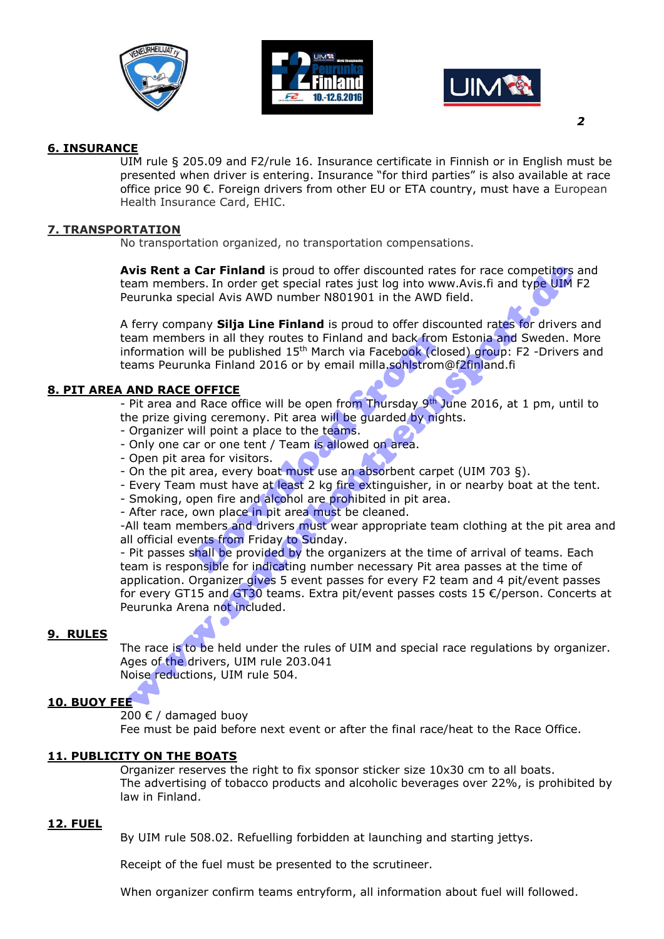





#### **6. INSURANCE**

UIM rule § 205.09 and F2/rule 16. Insurance certificate in Finnish or in English must be presented when driver is entering. Insurance "for third parties" is also available at race office price 90 €. Foreign drivers from other EU or ETA country, must have a European Health Insurance Card, EHIC.

#### **7. TRANSPORTATION**

No transportation organized, no transportation compensations.

**Avis Rent a Car Finland** is proud to offer discounted rates for race competitors and team members. In order get special rates just log into www.Avis.fi and type UIM F2 Peurunka special Avis AWD number N801901 in the AWD field.

A ferry company **Silja Line Finland** is proud to offer discounted rates for drivers and team members in all they routes to Finland and back from Estonia and Sweden. More information will be published  $15<sup>th</sup>$  March via Facebook (closed) group: F2 -Drivers and teams Peurunka Finland 2016 or by email milla.sohlstrom@f2finland.fi ers in all they routes to Finland and back from<br>will be published 15<sup>th</sup> March via Facebook (clo<br>nka Finland 2016 or by email milla.sohlstrome<br><u>OFFICE</u><br>d Race office will be open from Thursday 9<sup>th</sup> J<br>ing ceremony. Pit are

#### **8. PIT AREA AND RACE OFFICE**

- Pit area and Race office will be open from Thursday 9<sup>th</sup> June 2016, at 1 pm, until to the prize giving ceremony. Pit area will be guarded by nights.

- Organizer will point a place to the teams.
- Only one car or one tent / Team is allowed on area.
- Open pit area for visitors.
- On the pit area, every boat must use an absorbent carpet (UIM 703 §).
- Every Team must have at least 2 kg fire extinguisher, in or nearby boat at the tent.
- Smoking, open fire and alcohol are prohibited in pit area.
- After race, own place in pit area must be cleaned.

-All team members and drivers must wear appropriate team clothing at the pit area and all official events from Friday to Sunday.

- Pit passes shall be provided by the organizers at the time of arrival of teams. Each team is responsible for indicating number necessary Pit area passes at the time of application. Organizer gives 5 event passes for every F2 team and 4 pit/event passes for every GT15 and GT30 teams. Extra pit/event passes costs 15 €/person. Concerts at Peurunka Arena not included. **Notified Car Finland** is proud to offer discounted rates for race competitors<br> **Remin members.** In order get special rates just log into www.Avis.fi and type UIM<br>
eurunka special Avis AWD number N801901 in the AWD field.

#### **9. RULES**

The race is to be held under the rules of UIM and special race regulations by organizer. Ages of the drivers, UIM rule 203.041 Noise reductions, UIM rule 504.

#### **10. BUOY FEE**

200 € / damaged buoy

Fee must be paid before next event or after the final race/heat to the Race Office.

#### **11. PUBLICITY ON THE BOATS**

Organizer reserves the right to fix sponsor sticker size 10x30 cm to all boats. The advertising of tobacco products and alcoholic beverages over 22%, is prohibited by law in Finland.

#### **12. FUEL**

By UIM rule 508.02. Refuelling forbidden at launching and starting jettys.

Receipt of the fuel must be presented to the scrutineer.

When organizer confirm teams entryform, all information about fuel will followed.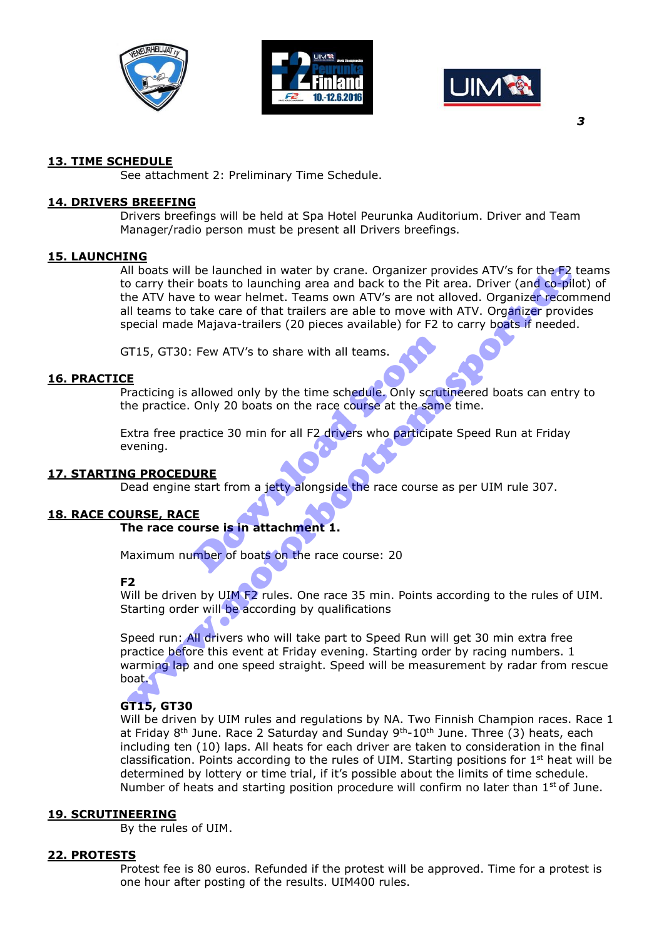





#### **13. TIME SCHEDULE**

See attachment 2: Preliminary Time Schedule.

#### **14. DRIVERS BREEFING**

Drivers breefings will be held at Spa Hotel Peurunka Auditorium. Driver and Team Manager/radio person must be present all Drivers breefings.

#### **15. LAUNCHING**

All boats will be launched in water by crane. Organizer provides ATV's for the F2 teams to carry their boats to launching area and back to the Pit area. Driver (and co-pilot) of the ATV have to wear helmet. Teams own ATV's are not alloved. Organizer recommend all teams to take care of that trailers are able to move with ATV. Organizer provides special made Majava-trailers (20 pieces available) for F2 to carry boats if needed. All boats will be launched in water by crane. Organizer provides ATV's for the F2<br>o carry their boats to launching area and back to the Pit area. Driver (and co-pil<br>he ATV have to wear helmet. Teams own ATV's are not allov

GT15, GT30: Few ATV's to share with all teams.

#### **16. PRACTICE**

Practicing is allowed only by the time schedule. Only scrutineered boats can entry to the practice. Only 20 boats on the race course at the same time. Few ATV's to share with all teams.<br>
allowed only by the time schedule. Only scrut<br>
Only 20 boats on the race course at the same<br>
actice 30 min for all F2 drivers who participat<br>
URE<br>
start from a jetty alongside the race c

Extra free practice 30 min for all F2 drivers who participate Speed Run at Friday evening.

## **17. STARTING PROCEDURE**

Dead engine start from a jetty alongside the race course as per UIM rule 307.

#### **18. RACE COURSE, RACE**

**The race course is in attachment 1.** 

Maximum number of boats on the race course: 20

#### **F2**

Will be driven by UIM F2 rules. One race 35 min. Points according to the rules of UIM. Starting order will be according by qualifications

Speed run: All drivers who will take part to Speed Run will get 30 min extra free practice before this event at Friday evening. Starting order by racing numbers. 1 warming lap and one speed straight. Speed will be measurement by radar from rescue boat.

#### **GT15, GT30**

Will be driven by UIM rules and regulations by NA. Two Finnish Champion races. Race 1 at Friday 8<sup>th</sup> June. Race 2 Saturday and Sunday 9<sup>th</sup>-10<sup>th</sup> June. Three (3) heats, each including ten (10) laps. All heats for each driver are taken to consideration in the final classification. Points according to the rules of UIM. Starting positions for  $1<sup>st</sup>$  heat will be determined by lottery or time trial, if it's possible about the limits of time schedule. Number of heats and starting position procedure will confirm no later than 1<sup>st</sup> of June.

#### **19. SCRUTINEERING**

By the rules of UIM.

#### **22. PROTESTS**

Protest fee is 80 euros. Refunded if the protest will be approved. Time for a protest is one hour after posting of the results. UIM400 rules.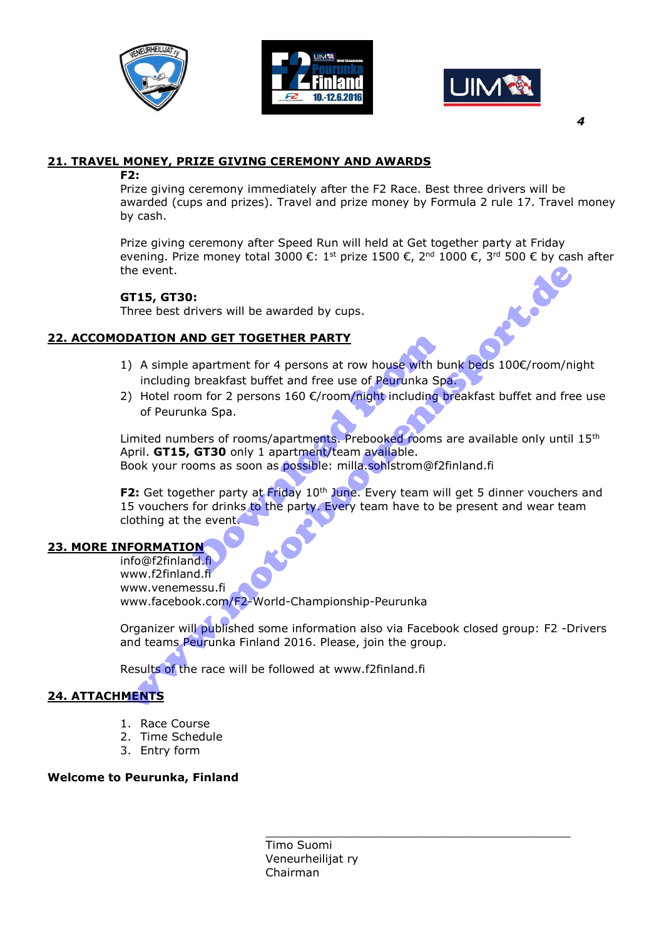





# **21. TRAVEL MONEY, PRIZE GIVING CEREMONY AND AWARDS**

#### **F2:**

Prize giving ceremony immediately after the F2 Race. Best three drivers will be awarded (cups and prizes). Travel and prize money by Formula 2 rule 17. Travel money by cash.

Prize giving ceremony after Speed Run will held at Get together party at Friday evening. Prize money total 3000 €: 1st prize 1500 €, 2<sup>nd</sup> 1000 €, 3<sup>rd</sup> 500 € by cash after the event.

## **GT15, GT30:**

Three best drivers will be awarded by cups.

## **22. ACCOMODATION AND GET TOGETHER PARTY**

- 1) A simple apartment for 4 persons at row house with bunk beds 100€/room/night including breakfast buffet and free use of Peurunka Spa.
- 2) Hotel room for 2 persons  $160 \text{ €/room/night}$  including breakfast buffet and free use of Peurunka Spa.

Limited numbers of rooms/apartments. Prebooked rooms are available only until 15<sup>th</sup> April. **GT15, GT30** only 1 apartment/team available. Book your rooms as soon as possible: milla.sohlstrom@f2finland.fi

**F2:** Get together party at Friday 10<sup>th</sup> June. Every team will get 5 dinner vouchers and 15 vouchers for drinks to the party. Every team have to be present and wear team clothing at the event. **ND GET TOGETHER PARTY**<br>
apartment for 4 persons at row house with bu<br>
breakfast buffet and free use of Peurunka Sp<br>
m for 2 persons 160  $\varepsilon$ /room/night including t<br>
ika Spa.<br>
bers of rooms/apartments. Prebooked rooms<br> The event.<br>
This, GT30:<br>
The best drivers will be awarded by cups.<br>
DATION AND GET TOGETHER PARTY<br>
including breakfast buffet and free use of Pearunka Spa.<br>
including breakfast buffet and free use of Pearunka Spa.<br>
initied

# **23. MORE INFORMATION**

info@f2finland.fi www.f2finland.fi www.venemessu.fi www.facebook.com/F2-World-Championship-Peurunka

Organizer will published some information also via Facebook closed group: F2 -Drivers and teams Peurunka Finland 2016. Please, join the group.

\_\_\_\_\_\_\_\_\_\_\_\_\_\_\_\_\_\_\_\_\_\_\_\_\_\_\_\_\_\_\_\_\_\_\_\_\_\_\_\_\_\_\_

Results of the race will be followed at www.f2finland.fi

# **24. ATTACHMENTS**

- 1. Race Course
- 2. Time Schedule
- 3. Entry form

#### **Welcome to Peurunka, Finland**

Timo Suomi Veneurheilijat ry Chairman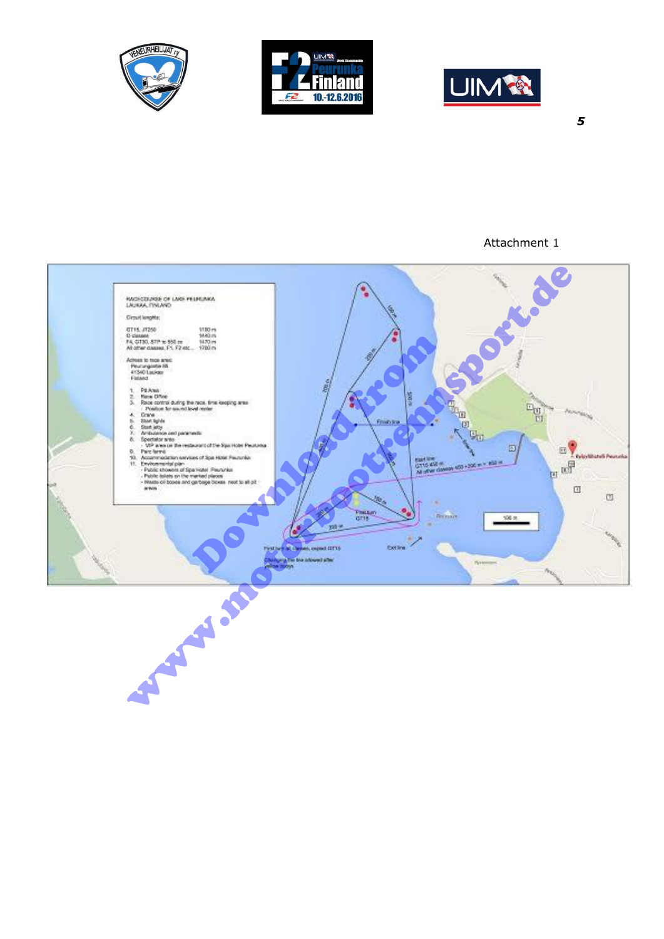





## Attachment 1

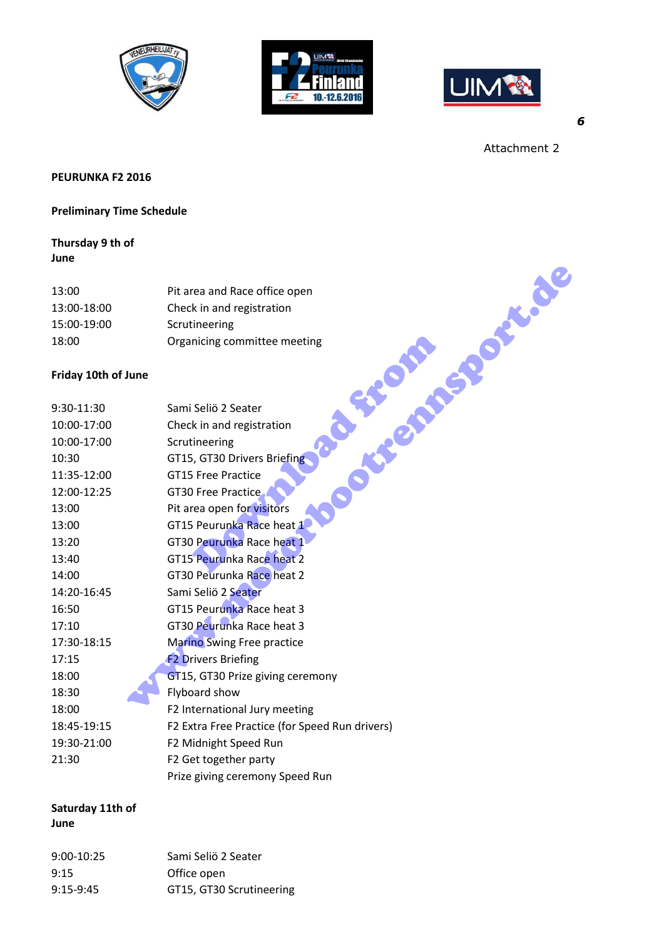





Attachment 2

## **PEURUNKA F2 2016**

#### **Preliminary Time Schedule**

# **Thursday 9 th of June**

| 13:00       | Pit area and Race office open |
|-------------|-------------------------------|
| 13:00-18:00 | Check in and registration     |
| 15:00-19:00 | Scrutineering                 |
| 18:00       | Organicing committee meeting  |

## **Friday 10th of June**

| 13:00               | Pit area and Race office open                  |
|---------------------|------------------------------------------------|
| 13:00-18:00         | Check in and registration                      |
| 15:00-19:00         | Scrutineering                                  |
| 18:00               | Organicing committee meeting                   |
| Friday 10th of June | Posted Missions Creek                          |
| 9:30-11:30          | Sami Seliö 2 Seater                            |
| 10:00-17:00         | Check in and registration                      |
| 10:00-17:00         | Scrutineering                                  |
| 10:30               | GT15, GT30 Drivers Briefing                    |
| 11:35-12:00         | <b>GT15 Free Practice</b>                      |
| 12:00-12:25         | <b>GT30 Free Practice</b>                      |
| 13:00               | Pit area open for visitors                     |
| 13:00               | GT15 Peurunka Race heat 1                      |
| 13:20               | GT30 Peurunka Race heat 1                      |
| 13:40               | GT15 Peurunka Race heat 2                      |
| 14:00               | GT30 Peurunka Race heat 2                      |
| 14:20-16:45         | Sami Seliö 2 Seater                            |
| 16:50               | GT15 Peurunka Race heat 3                      |
| 17:10               | GT30 Peurunka Race heat 3                      |
| 17:30-18:15         | <b>Marino Swing Free practice</b>              |
| 17:15               | <b>F2 Drivers Briefing</b>                     |
| 18:00               | GT15, GT30 Prize giving ceremony               |
| 18:30               | Flyboard show                                  |
| 18:00               | F2 International Jury meeting                  |
| 18:45-19:15         | F2 Extra Free Practice (for Speed Run drivers) |
| 19:30-21:00         | F2 Midnight Speed Run                          |
| 21:30               | F2 Get together party                          |
|                     | Prize giving ceremony Speed Run                |

#### **Saturday 11th of June**

| $9:00-10:25$ | Sami Seliö 2 Seater      |
|--------------|--------------------------|
| 9:15         | Office open              |
| $9:15-9:45$  | GT15, GT30 Scrutineering |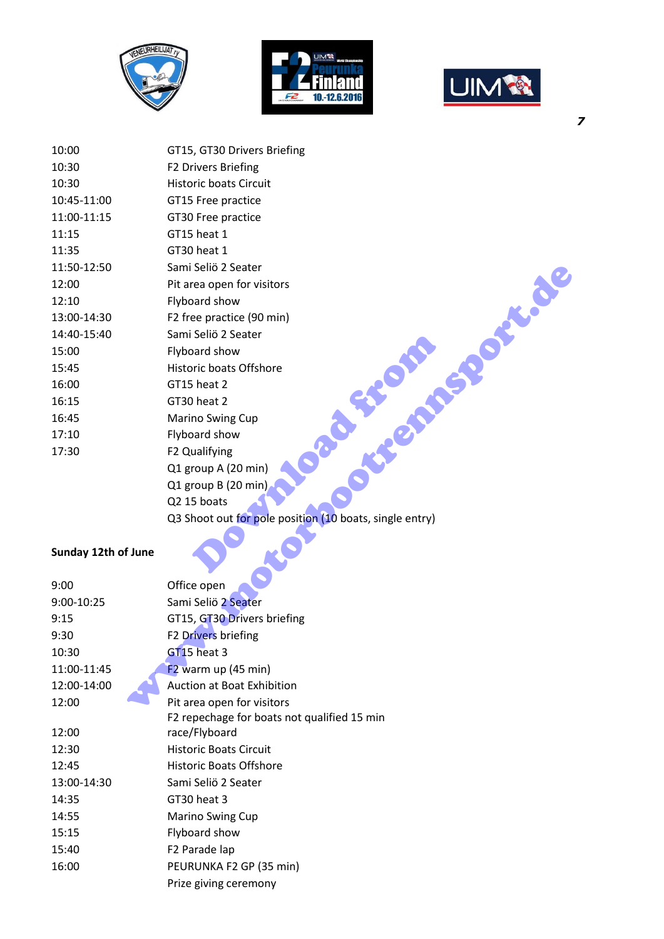





10:00 GT15, GT30 Drivers Briefing 10:30 F2 Drivers Briefing 10:30 Historic boats Circuit 10:45-11:00 GT15 Free practice 11:00-11:15 GT30 Free practice 11:15 GT15 heat 1 11:35 GT30 heat 1 11:50-12:50 Sami Seliö 2 Seater 12:00 Pit area open for visitors 12:10 Flyboard show 13:00-14:30 F2 free practice (90 min) 14:40-15:40 Sami Seliö 2 Seater 15:00 Flyboard show 15:45 Historic boats Offshore 16:00 GT15 heat 2 16:15 GT30 heat 2 16:45 Marino Swing Cup 17:10 Flyboard show 17:30 F2 Qualifying Q1 group A (20 min) Q1 group B (20 min) Q2 15 boats Q3 Shoot out for pole position (10 boats, single entry) Selio 2 Seater<br>
Dard show<br>
Fince boats Offshore<br>
Sheat 2<br>
Theat 2<br>
In the Sheat 2<br>
Theat 2<br>
Theat 2<br>
Theat 2<br>
Theat 2<br>
Theat 2<br>
Theat 2<br>
Theat 2<br>
Theat 2<br>
Theat 2<br>
Theat 2<br>
Theat 3<br>
Mullifying<br>
roup B (20 min)<br>
5 boats<br>
ho Sami Seliö 2 Seater<br>
Pit area open for visitors<br>
Flyboard show<br>
Flyboard show<br>
Historic boats Offshore<br>
Tis heat 2<br>
Marino Swing Cup<br>
Typoard show<br>
Historic boats offshore<br>
To Qualifying<br>
To Qualifying<br>
Qualifying<br>
Qualify

#### **Sunday 12th of June**

| 9:00        | Office open                                 |
|-------------|---------------------------------------------|
| 9:00-10:25  | Sami Seliö 2 Seater                         |
| 9:15        | GT15, GT30 Drivers briefing                 |
| 9:30        | F2 Drivers briefing                         |
| 10:30       | $GT15$ heat 3                               |
| 11:00-11:45 | $F2$ warm up (45 min)                       |
| 12:00-14:00 | <b>Auction at Boat Exhibition</b>           |
| 12:00       | Pit area open for visitors                  |
|             | F2 repechage for boats not qualified 15 min |
| 12:00       | race/Flyboard                               |
| 12:30       | <b>Historic Boats Circuit</b>               |
| 12:45       | <b>Historic Boats Offshore</b>              |
| 13:00-14:30 | Sami Seliö 2 Seater                         |
| 14:35       | GT30 heat 3                                 |
| 14:55       | <b>Marino Swing Cup</b>                     |
| 15:15       | Flyboard show                               |
| 15:40       | F <sub>2</sub> Parade lap                   |
| 16:00       | PEURUNKA F2 GP (35 min)                     |
|             | Prize giving ceremony                       |